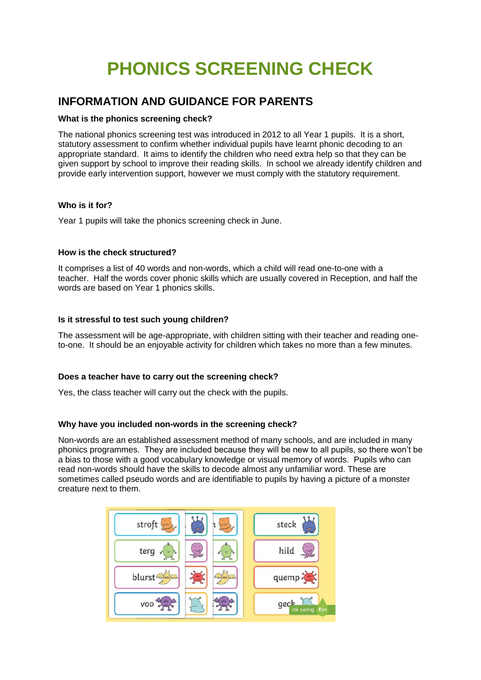# **PHONICS SCREENING CHECK**

## **INFORMATION AND GUIDANCE FOR PARENTS**

#### **What is the phonics screening check?**

The national phonics screening test was introduced in 2012 to all Year 1 pupils. It is a short, statutory assessment to confirm whether individual pupils have learnt phonic decoding to an appropriate standard. It aims to identify the children who need extra help so that they can be given support by school to improve their reading skills. In school we already identify children and provide early intervention support, however we must comply with the statutory requirement.

#### **Who is it for?**

Year 1 pupils will take the phonics screening check in June.

#### **How is the check structured?**

It comprises a list of 40 words and non-words, which a child will read one-to-one with a teacher. Half the words cover phonic skills which are usually covered in Reception, and half the words are based on Year 1 phonics skills.

#### **Is it stressful to test such young children?**

The assessment will be age-appropriate, with children sitting with their teacher and reading oneto-one. It should be an enjoyable activity for children which takes no more than a few minutes.

#### **Does a teacher have to carry out the screening check?**

Yes, the class teacher will carry out the check with the pupils.

#### **Why have you included non-words in the screening check?**

Non-words are an established assessment method of many schools, and are included in many phonics programmes. They are included because they will be new to all pupils, so there won't be a bias to those with a good vocabulary knowledge or visual memory of words. Pupils who can read non-words should have the skills to decode almost any unfamiliar word. These are sometimes called pseudo words and are identifiable to pupils by having a picture of a monster creature next to them.